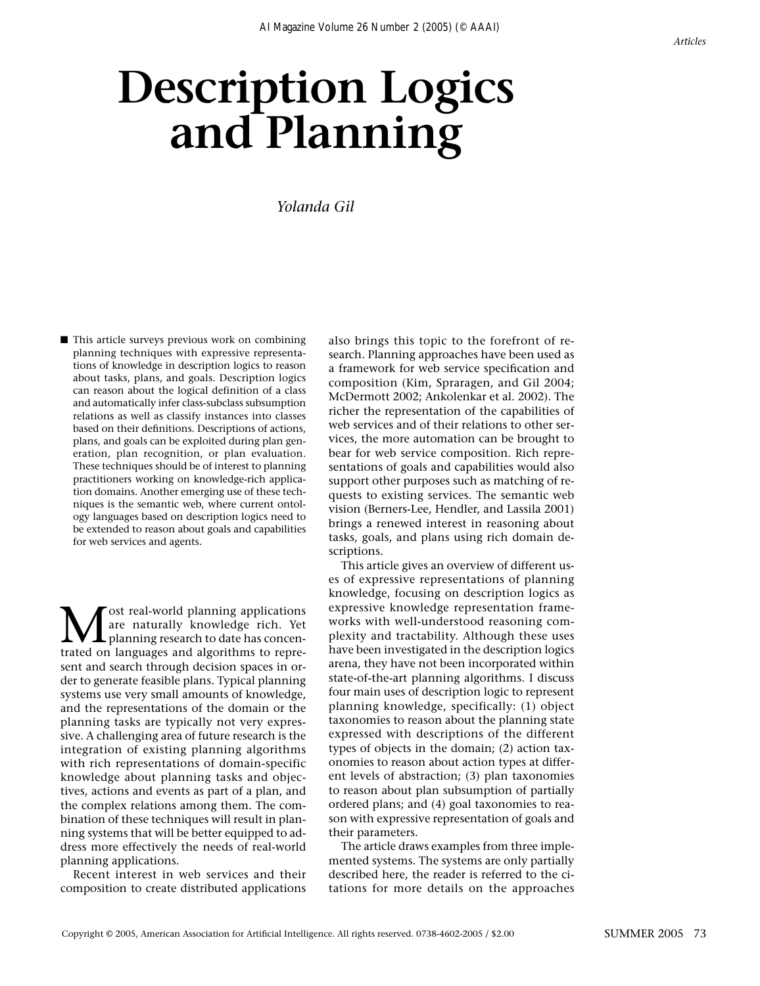# **Description Logics and Planning**

## *Yolanda Gil*

■ This article surveys previous work on combining planning techniques with expressive representations of knowledge in description logics to reason about tasks, plans, and goals. Description logics can reason about the logical definition of a class and automatically infer class-subclass subsumption relations as well as classify instances into classes based on their definitions. Descriptions of actions, plans, and goals can be exploited during plan generation, plan recognition, or plan evaluation. These techniques should be of interest to planning practitioners working on knowledge-rich application domains. Another emerging use of these techniques is the semantic web, where current ontology languages based on description logics need to be extended to reason about goals and capabilities for web services and agents.

**M** ost real-world planning applications<br>are naturally knowledge rich. Yet<br>trated on languages and algorithms to repreare naturally knowledge rich. Yet planning research to date has concentrated on languages and algorithms to represent and search through decision spaces in order to generate feasible plans. Typical planning systems use very small amounts of knowledge, and the representations of the domain or the planning tasks are typically not very expressive. A challenging area of future research is the integration of existing planning algorithms with rich representations of domain-specific knowledge about planning tasks and objectives, actions and events as part of a plan, and the complex relations among them. The combination of these techniques will result in planning systems that will be better equipped to address more effectively the needs of real-world planning applications.

Recent interest in web services and their composition to create distributed applications

also brings this topic to the forefront of research. Planning approaches have been used as a framework for web service specification and composition (Kim, Spraragen, and Gil 2004; McDermott 2002; Ankolenkar et al. 2002). The richer the representation of the capabilities of web services and of their relations to other services, the more automation can be brought to bear for web service composition. Rich representations of goals and capabilities would also support other purposes such as matching of requests to existing services. The semantic web vision (Berners-Lee, Hendler, and Lassila 2001) brings a renewed interest in reasoning about tasks, goals, and plans using rich domain descriptions.

This article gives an overview of different uses of expressive representations of planning knowledge, focusing on description logics as expressive knowledge representation frameworks with well-understood reasoning complexity and tractability. Although these uses have been investigated in the description logics arena, they have not been incorporated within state-of-the-art planning algorithms. I discuss four main uses of description logic to represent planning knowledge, specifically: (1) object taxonomies to reason about the planning state expressed with descriptions of the different types of objects in the domain; (2) action taxonomies to reason about action types at different levels of abstraction; (3) plan taxonomies to reason about plan subsumption of partially ordered plans; and (4) goal taxonomies to reason with expressive representation of goals and their parameters.

The article draws examples from three implemented systems. The systems are only partially described here, the reader is referred to the citations for more details on the approaches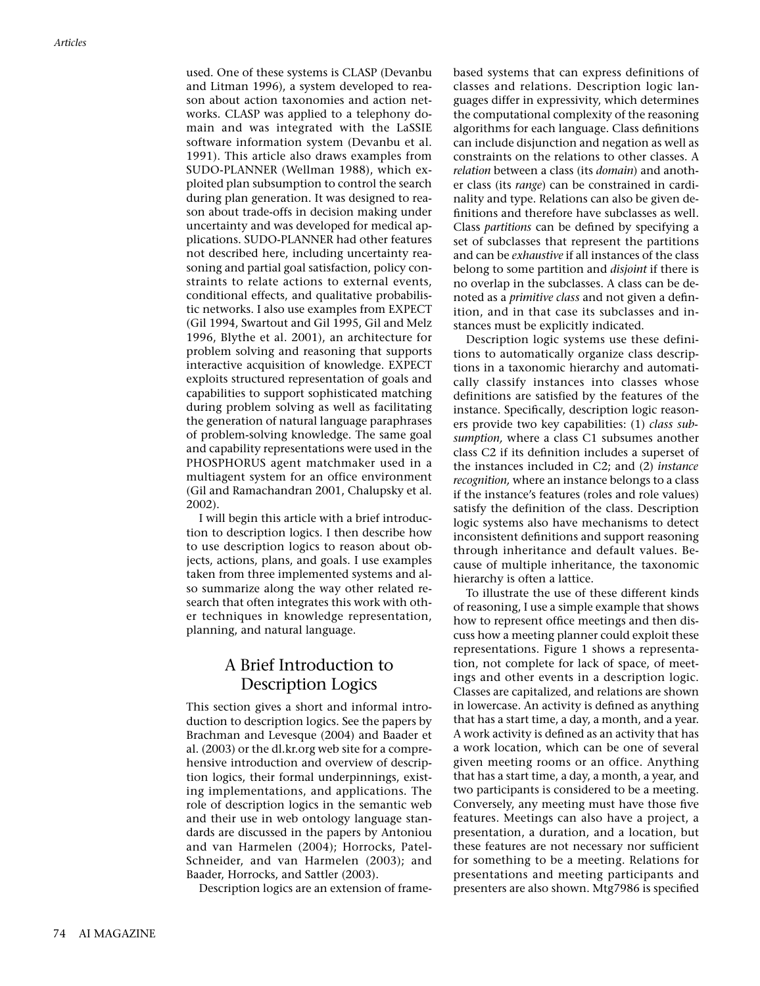used. One of these systems is CLASP (Devanbu and Litman 1996), a system developed to reason about action taxonomies and action networks. CLASP was applied to a telephony domain and was integrated with the LaSSIE software information system (Devanbu et al. 1991). This article also draws examples from SUDO-PLANNER (Wellman 1988), which exploited plan subsumption to control the search during plan generation. It was designed to reason about trade-offs in decision making under uncertainty and was developed for medical applications. SUDO-PLANNER had other features not described here, including uncertainty reasoning and partial goal satisfaction, policy constraints to relate actions to external events, conditional effects, and qualitative probabilistic networks. I also use examples from EXPECT (Gil 1994, Swartout and Gil 1995, Gil and Melz 1996, Blythe et al. 2001), an architecture for problem solving and reasoning that supports interactive acquisition of knowledge. EXPECT exploits structured representation of goals and capabilities to support sophisticated matching during problem solving as well as facilitating the generation of natural language paraphrases of problem-solving knowledge. The same goal and capability representations were used in the PHOSPHORUS agent matchmaker used in a multiagent system for an office environment (Gil and Ramachandran 2001, Chalupsky et al. 2002).

I will begin this article with a brief introduction to description logics. I then describe how to use description logics to reason about objects, actions, plans, and goals. I use examples taken from three implemented systems and also summarize along the way other related research that often integrates this work with other techniques in knowledge representation, planning, and natural language.

# A Brief Introduction to Description Logics

This section gives a short and informal introduction to description logics. See the papers by Brachman and Levesque (2004) and Baader et al. (2003) or the dl.kr.org web site for a comprehensive introduction and overview of description logics, their formal underpinnings, existing implementations, and applications. The role of description logics in the semantic web and their use in web ontology language standards are discussed in the papers by Antoniou and van Harmelen (2004); Horrocks, Patel-Schneider, and van Harmelen (2003); and Baader, Horrocks, and Sattler (2003).

Description logics are an extension of frame-

based systems that can express definitions of classes and relations. Description logic languages differ in expressivity, which determines the computational complexity of the reasoning algorithms for each language. Class definitions can include disjunction and negation as well as constraints on the relations to other classes. A *relation* between a class (its *domain*) and another class (its *range*) can be constrained in cardinality and type. Relations can also be given definitions and therefore have subclasses as well. Class *partitions* can be defined by specifying a set of subclasses that represent the partitions and can be *exhaustive* if all instances of the class belong to some partition and *disjoint* if there is no overlap in the subclasses. A class can be denoted as a *primitive class* and not given a definition, and in that case its subclasses and instances must be explicitly indicated.

Description logic systems use these definitions to automatically organize class descriptions in a taxonomic hierarchy and automatically classify instances into classes whose definitions are satisfied by the features of the instance. Specifically, description logic reasoners provide two key capabilities: (1) *class subsumption,* where a class C1 subsumes another class C2 if its definition includes a superset of the instances included in C2; and (2) *instance recognition,* where an instance belongs to a class if the instance's features (roles and role values) satisfy the definition of the class. Description logic systems also have mechanisms to detect inconsistent definitions and support reasoning through inheritance and default values. Because of multiple inheritance, the taxonomic hierarchy is often a lattice.

To illustrate the use of these different kinds of reasoning, I use a simple example that shows how to represent office meetings and then discuss how a meeting planner could exploit these representations. Figure 1 shows a representation, not complete for lack of space, of meetings and other events in a description logic. Classes are capitalized, and relations are shown in lowercase. An activity is defined as anything that has a start time, a day, a month, and a year. A work activity is defined as an activity that has a work location, which can be one of several given meeting rooms or an office. Anything that has a start time, a day, a month, a year, and two participants is considered to be a meeting. Conversely, any meeting must have those five features. Meetings can also have a project, a presentation, a duration, and a location, but these features are not necessary nor sufficient for something to be a meeting. Relations for presentations and meeting participants and presenters are also shown. Mtg7986 is specified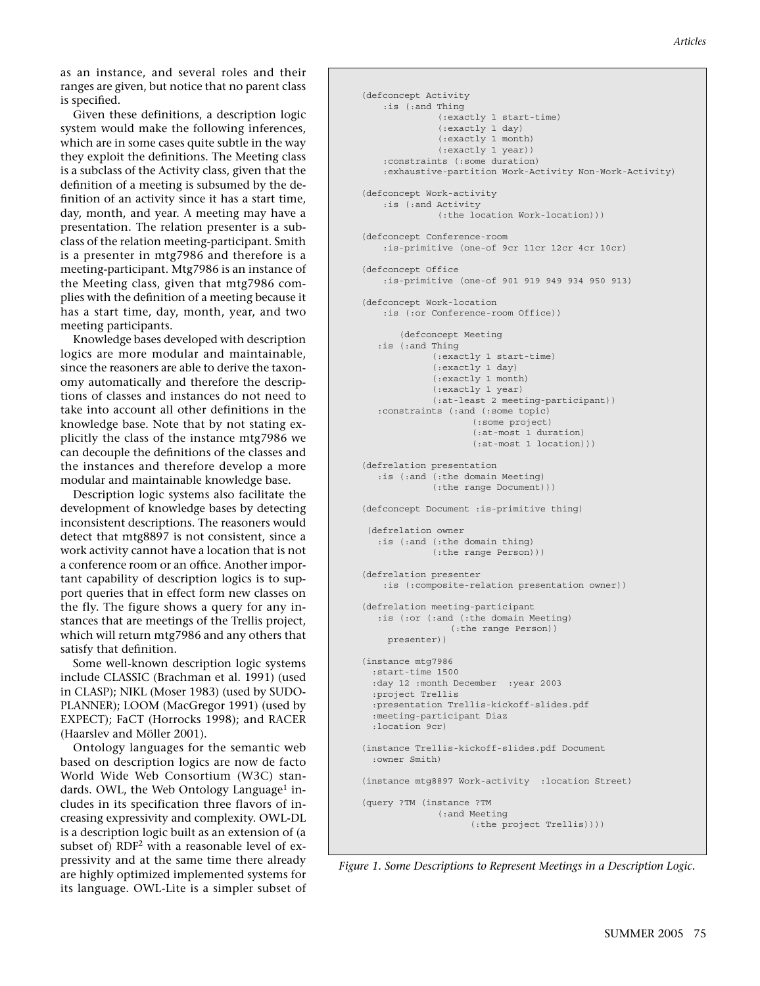as an instance, and several roles and their ranges are given, but notice that no parent class is specified.

Given these definitions, a description logic system would make the following inferences, which are in some cases quite subtle in the way they exploit the definitions. The Meeting class is a subclass of the Activity class, given that the definition of a meeting is subsumed by the definition of an activity since it has a start time, day, month, and year. A meeting may have a presentation. The relation presenter is a subclass of the relation meeting-participant. Smith is a presenter in mtg7986 and therefore is a meeting-participant. Mtg7986 is an instance of the Meeting class, given that mtg7986 complies with the definition of a meeting because it has a start time, day, month, year, and two meeting participants.

Knowledge bases developed with description logics are more modular and maintainable, since the reasoners are able to derive the taxonomy automatically and therefore the descriptions of classes and instances do not need to take into account all other definitions in the knowledge base. Note that by not stating explicitly the class of the instance mtg7986 we can decouple the definitions of the classes and the instances and therefore develop a more modular and maintainable knowledge base.

Description logic systems also facilitate the development of knowledge bases by detecting inconsistent descriptions. The reasoners would detect that mtg8897 is not consistent, since a work activity cannot have a location that is not a conference room or an office. Another important capability of description logics is to support queries that in effect form new classes on the fly. The figure shows a query for any instances that are meetings of the Trellis project, which will return mtg7986 and any others that satisfy that definition.

Some well-known description logic systems include CLASSIC (Brachman et al. 1991) (used in CLASP); NIKL (Moser 1983) (used by SUDO-PLANNER); LOOM (MacGregor 1991) (used by EXPECT); FaCT (Horrocks 1998); and RACER (Haarslev and Möller 2001).

Ontology languages for the semantic web based on description logics are now de facto World Wide Web Consortium (W3C) standards. OWL, the Web Ontology Language<sup>1</sup> includes in its specification three flavors of increasing expressivity and complexity. OWL-DL is a description logic built as an extension of (a subset of) RDF<sup>2</sup> with a reasonable level of expressivity and at the same time there already are highly optimized implemented systems for its language. OWL-Lite is a simpler subset of

```
(defconcept Activity
    :is (:and Thing
               (:exactly 1 start-time)
               (:exactly 1 day)
               (:exactly 1 month)
               (:exactly 1 year))
     :constraints (:some duration)
     :exhaustive-partition Work-Activity Non-Work-Activity)
(defconcept Work-activity
    :is (:and Activity
               (:the location Work-location)))
(defconcept Conference-room
    :is-primitive (one-of 9cr 11cr 12cr 4cr 10cr) 
(defconcept Office
     :is-primitive (one-of 901 919 949 934 950 913) 
(defconcept Work-location
    :is (:or Conference-room Office))
        (defconcept Meeting 
   :is (:and Thing
             (:exactly 1 start-time)
              (:exactly 1 day)
              (:exactly 1 month)
              (:exactly 1 year)
              (:at-least 2 meeting-participant))
   :constraints (:and (:some topic)
                     (:some project)
                      (:at-most 1 duration)
                     (:at-most 1 location)))
(defrelation presentation
   :is (:and (:the domain Meeting)
             (:the range Document)))
(defconcept Document :is-primitive thing)
 (defrelation owner
   :is (:and (:the domain thing)
             (:the range Person)))
(defrelation presenter
    :is (:composite-relation presentation owner))
(defrelation meeting-participant
   :is (:or (:and (:the domain Meeting)
                 (:the range Person))
     presenter))
(instance mtg7986
   :start-time 1500
   :day 12 :month December :year 2003
  :project Trellis
  :presentation Trellis-kickoff-slides.pdf
   :meeting-participant Diaz
  :location 9cr)
(instance Trellis-kickoff-slides.pdf Document
  :owner Smith)
(instance mtg8897 Work-activity :location Street)
(query ?TM (instance ?TM 
               (:and Meeting 
                     (:the project Trellis))))
```
*Figure 1. Some Descriptions to Represent Meetings in a Description Logic.*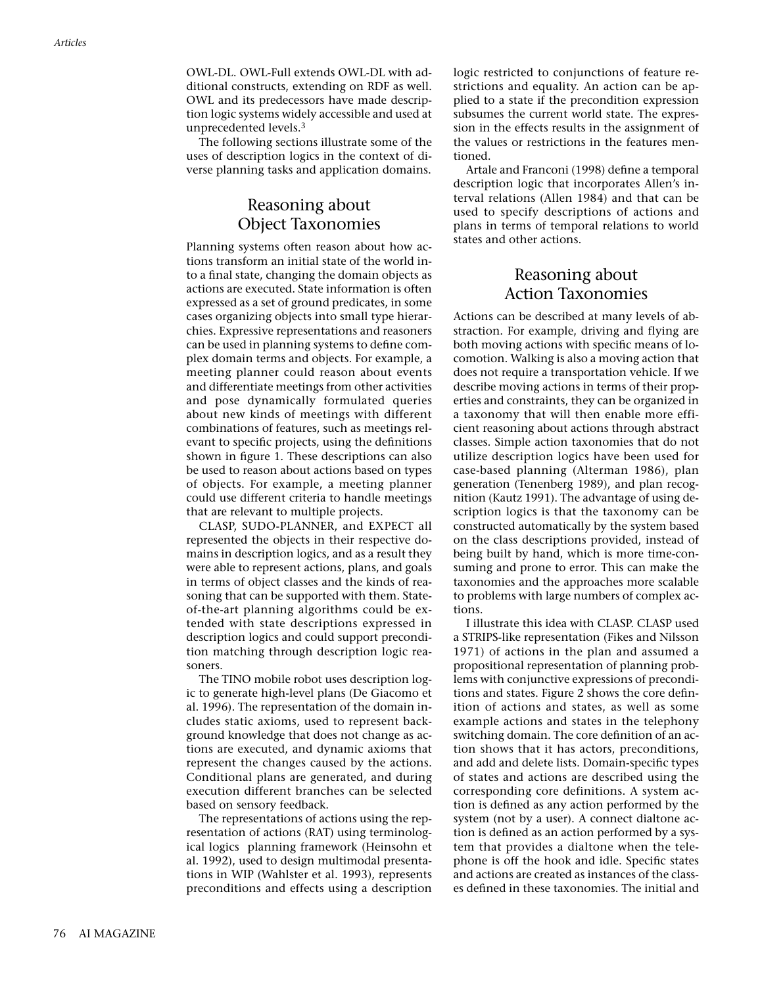OWL-DL. OWL-Full extends OWL-DL with additional constructs, extending on RDF as well. OWL and its predecessors have made description logic systems widely accessible and used at unprecedented levels.3

The following sections illustrate some of the uses of description logics in the context of diverse planning tasks and application domains.

## Reasoning about Object Taxonomies

Planning systems often reason about how actions transform an initial state of the world into a final state, changing the domain objects as actions are executed. State information is often expressed as a set of ground predicates, in some cases organizing objects into small type hierarchies. Expressive representations and reasoners can be used in planning systems to define complex domain terms and objects. For example, a meeting planner could reason about events and differentiate meetings from other activities and pose dynamically formulated queries about new kinds of meetings with different combinations of features, such as meetings relevant to specific projects, using the definitions shown in figure 1. These descriptions can also be used to reason about actions based on types of objects. For example, a meeting planner could use different criteria to handle meetings that are relevant to multiple projects.

CLASP, SUDO-PLANNER, and EXPECT all represented the objects in their respective domains in description logics, and as a result they were able to represent actions, plans, and goals in terms of object classes and the kinds of reasoning that can be supported with them. Stateof-the-art planning algorithms could be extended with state descriptions expressed in description logics and could support precondition matching through description logic reasoners.

The TINO mobile robot uses description logic to generate high-level plans (De Giacomo et al. 1996). The representation of the domain includes static axioms, used to represent background knowledge that does not change as actions are executed, and dynamic axioms that represent the changes caused by the actions. Conditional plans are generated, and during execution different branches can be selected based on sensory feedback.

The representations of actions using the representation of actions (RAT) using terminological logics planning framework (Heinsohn et al. 1992), used to design multimodal presentations in WIP (Wahlster et al. 1993), represents preconditions and effects using a description

logic restricted to conjunctions of feature restrictions and equality. An action can be applied to a state if the precondition expression subsumes the current world state. The expression in the effects results in the assignment of the values or restrictions in the features mentioned.

Artale and Franconi (1998) define a temporal description logic that incorporates Allen's interval relations (Allen 1984) and that can be used to specify descriptions of actions and plans in terms of temporal relations to world states and other actions.

# Reasoning about Action Taxonomies

Actions can be described at many levels of abstraction. For example, driving and flying are both moving actions with specific means of locomotion. Walking is also a moving action that does not require a transportation vehicle. If we describe moving actions in terms of their properties and constraints, they can be organized in a taxonomy that will then enable more efficient reasoning about actions through abstract classes. Simple action taxonomies that do not utilize description logics have been used for case-based planning (Alterman 1986), plan generation (Tenenberg 1989), and plan recognition (Kautz 1991). The advantage of using description logics is that the taxonomy can be constructed automatically by the system based on the class descriptions provided, instead of being built by hand, which is more time-consuming and prone to error. This can make the taxonomies and the approaches more scalable to problems with large numbers of complex actions.

I illustrate this idea with CLASP. CLASP used a STRIPS-like representation (Fikes and Nilsson 1971) of actions in the plan and assumed a propositional representation of planning problems with conjunctive expressions of preconditions and states. Figure 2 shows the core definition of actions and states, as well as some example actions and states in the telephony switching domain. The core definition of an action shows that it has actors, preconditions, and add and delete lists. Domain-specific types of states and actions are described using the corresponding core definitions. A system action is defined as any action performed by the system (not by a user). A connect dialtone action is defined as an action performed by a system that provides a dialtone when the telephone is off the hook and idle. Specific states and actions are created as instances of the classes defined in these taxonomies. The initial and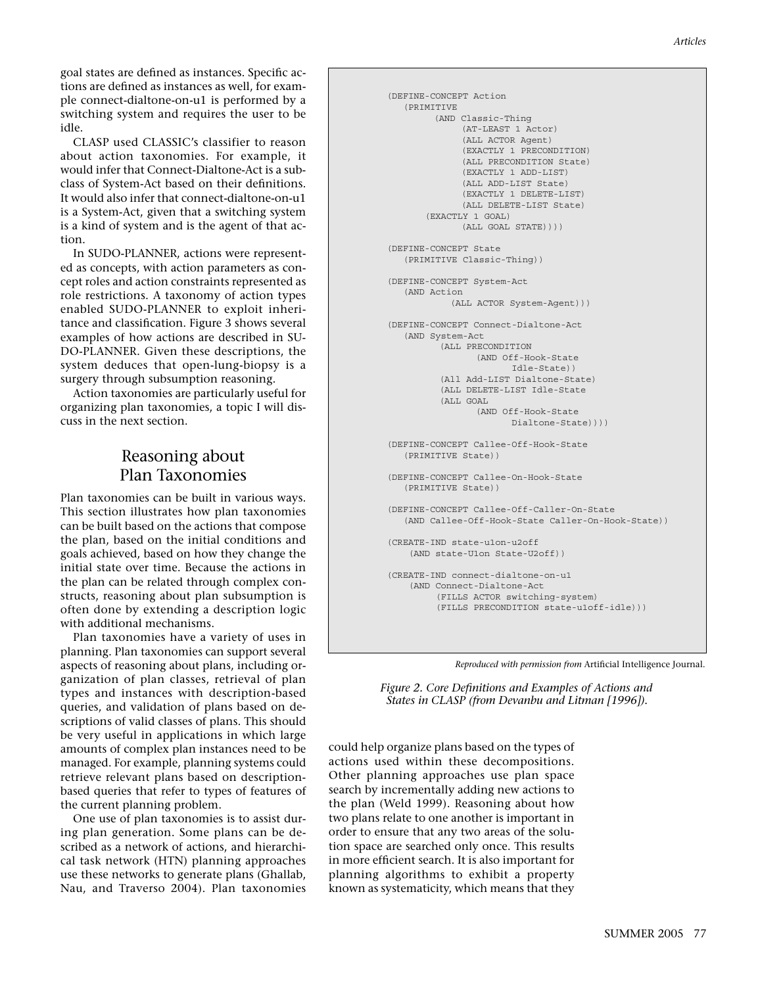goal states are defined as instances. Specific actions are defined as instances as well, for example connect-dialtone-on-u1 is performed by a switching system and requires the user to be idle.

CLASP used CLASSIC's classifier to reason about action taxonomies. For example, it would infer that Connect-Dialtone-Act is a subclass of System-Act based on their definitions. It would also infer that connect-dialtone-on-u1 is a System-Act, given that a switching system is a kind of system and is the agent of that action.

In SUDO-PLANNER, actions were represented as concepts, with action parameters as concept roles and action constraints represented as role restrictions. A taxonomy of action types enabled SUDO-PLANNER to exploit inheritance and classification. Figure 3 shows several examples of how actions are described in SU-DO-PLANNER. Given these descriptions, the system deduces that open-lung-biopsy is a surgery through subsumption reasoning.

Action taxonomies are particularly useful for organizing plan taxonomies, a topic I will discuss in the next section.

# Reasoning about Plan Taxonomies

Plan taxonomies can be built in various ways. This section illustrates how plan taxonomies can be built based on the actions that compose the plan, based on the initial conditions and goals achieved, based on how they change the initial state over time. Because the actions in the plan can be related through complex constructs, reasoning about plan subsumption is often done by extending a description logic with additional mechanisms.

Plan taxonomies have a variety of uses in planning. Plan taxonomies can support several aspects of reasoning about plans, including organization of plan classes, retrieval of plan types and instances with description-based queries, and validation of plans based on descriptions of valid classes of plans. This should be very useful in applications in which large amounts of complex plan instances need to be managed. For example, planning systems could retrieve relevant plans based on descriptionbased queries that refer to types of features of the current planning problem.

One use of plan taxonomies is to assist during plan generation. Some plans can be described as a network of actions, and hierarchical task network (HTN) planning approaches use these networks to generate plans (Ghallab, Nau, and Traverso 2004). Plan taxonomies

```
(DEFINE-CONCEPT Action
   (PRIMITIVE
         (AND Classic-Thing
               (AT-LEAST 1 Actor)
               (ALL ACTOR Agent)
               (EXACTLY 1 PRECONDITION)
               (ALL PRECONDITION State)
               (EXACTLY 1 ADD-LIST)
               (ALL ADD-LIST State)
               (EXACTLY 1 DELETE-LIST)
               (ALL DELETE-LIST State) 
        (EXACTLY 1 GOAL)
               (ALL GOAL STATE))))
(DEFINE-CONCEPT State
   (PRIMITIVE Classic-Thing))
(DEFINE-CONCEPT System-Act
   (AND Action
             (ALL ACTOR System-Agent)))
(DEFINE-CONCEPT Connect-Dialtone-Act
   (AND System-Act
           (ALL PRECONDITION
                 (AND Off-Hook-State
                        Idle-State))
          (All Add-LIST Dialtone-State)
           (ALL DELETE-LIST Idle-State
          (ALL GOAL
                  (AND Off-Hook-State
                        Dialtone-State))))
(DEFINE-CONCEPT Callee-Off-Hook-State
    (PRIMITIVE State))
(DEFINE-CONCEPT Callee-On-Hook-State
   (PRIMITIVE State))
(DEFINE-CONCEPT Callee-Off-Caller-On-State
    (AND Callee-Off-Hook-State Caller-On-Hook-State))
(CREATE-IND state-u1on-u2off
    (AND state-U1on State-U2off))
(CREATE-IND connect-dialtone-on-u1
    (AND Connect-Dialtone-Act
          (FILLS ACTOR switching-system)
          (FILLS PRECONDITION state-u1off-idle)))
```


*Figure 2. Core Definitions and Examples of Actions and States in CLASP (from Devanbu and Litman [1996]).*

could help organize plans based on the types of actions used within these decompositions. Other planning approaches use plan space search by incrementally adding new actions to the plan (Weld 1999). Reasoning about how two plans relate to one another is important in order to ensure that any two areas of the solution space are searched only once. This results in more efficient search. It is also important for planning algorithms to exhibit a property known as systematicity, which means that they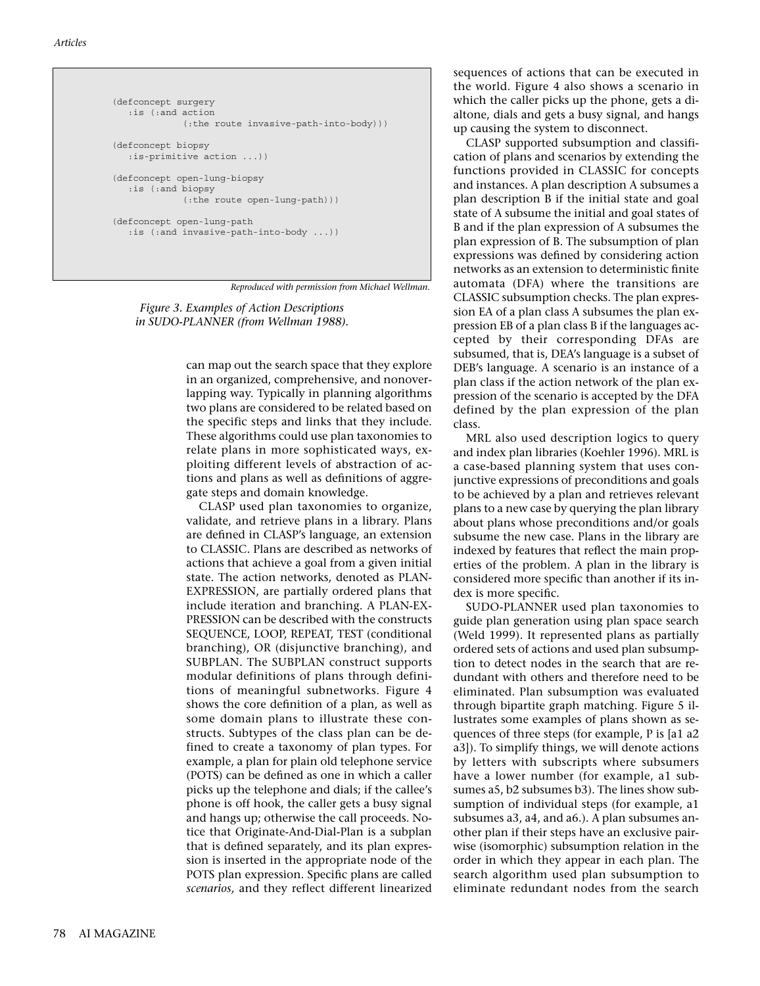```
(defconcept surgery 
   :is (:and action 
              (:the route invasive-path-into-body)))
(defconcept biopsy
   :is-primitive action ...))
(defconcept open-lung-biopsy
    :is (:and biopsy
              (:the route open-lung-path)))
(defconcept open-lung-path
    :is (:and invasive-path-into-body ...))
```
*Reproduced with permission from Michael Wellman.*

*Figure 3. Examples of Action Descriptions in SUDO-PLANNER (from Wellman 1988).*

> can map out the search space that they explore in an organized, comprehensive, and nonoverlapping way. Typically in planning algorithms two plans are considered to be related based on the specific steps and links that they include. These algorithms could use plan taxonomies to relate plans in more sophisticated ways, exploiting different levels of abstraction of actions and plans as well as definitions of aggregate steps and domain knowledge.

CLASP used plan taxonomies to organize, validate, and retrieve plans in a library. Plans are defined in CLASP's language, an extension to CLASSIC. Plans are described as networks of actions that achieve a goal from a given initial state. The action networks, denoted as PLAN-EXPRESSION, are partially ordered plans that include iteration and branching. A PLAN-EX-PRESSION can be described with the constructs SEQUENCE, LOOP, REPEAT, TEST (conditional branching), OR (disjunctive branching), and SUBPLAN. The SUBPLAN construct supports modular definitions of plans through definitions of meaningful subnetworks. Figure 4 shows the core definition of a plan, as well as some domain plans to illustrate these constructs. Subtypes of the class plan can be defined to create a taxonomy of plan types. For example, a plan for plain old telephone service (POTS) can be defined as one in which a caller picks up the telephone and dials; if the callee's phone is off hook, the caller gets a busy signal and hangs up; otherwise the call proceeds. Notice that Originate-And-Dial-Plan is a subplan that is defined separately, and its plan expression is inserted in the appropriate node of the POTS plan expression. Specific plans are called *scenarios,* and they reflect different linearized

sequences of actions that can be executed in the world. Figure 4 also shows a scenario in which the caller picks up the phone, gets a dialtone, dials and gets a busy signal, and hangs up causing the system to disconnect.

CLASP supported subsumption and classification of plans and scenarios by extending the functions provided in CLASSIC for concepts and instances. A plan description A subsumes a plan description B if the initial state and goal state of A subsume the initial and goal states of B and if the plan expression of A subsumes the plan expression of B. The subsumption of plan expressions was defined by considering action networks as an extension to deterministic finite automata (DFA) where the transitions are CLASSIC subsumption checks. The plan expression EA of a plan class A subsumes the plan expression EB of a plan class B if the languages accepted by their corresponding DFAs are subsumed, that is, DEA's language is a subset of DEB's language. A scenario is an instance of a plan class if the action network of the plan expression of the scenario is accepted by the DFA defined by the plan expression of the plan class.

MRL also used description logics to query and index plan libraries (Koehler 1996). MRL is a case-based planning system that uses conjunctive expressions of preconditions and goals to be achieved by a plan and retrieves relevant plans to a new case by querying the plan library about plans whose preconditions and/or goals subsume the new case. Plans in the library are indexed by features that reflect the main properties of the problem. A plan in the library is considered more specific than another if its index is more specific.

SUDO-PLANNER used plan taxonomies to guide plan generation using plan space search (Weld 1999). It represented plans as partially ordered sets of actions and used plan subsumption to detect nodes in the search that are redundant with others and therefore need to be eliminated. Plan subsumption was evaluated through bipartite graph matching. Figure 5 illustrates some examples of plans shown as sequences of three steps (for example, P is [a1 a2 a3]). To simplify things, we will denote actions by letters with subscripts where subsumers have a lower number (for example, a1 subsumes a5, b2 subsumes b3). The lines show subsumption of individual steps (for example, a1 subsumes a3, a4, and a6.). A plan subsumes another plan if their steps have an exclusive pairwise (isomorphic) subsumption relation in the order in which they appear in each plan. The search algorithm used plan subsumption to eliminate redundant nodes from the search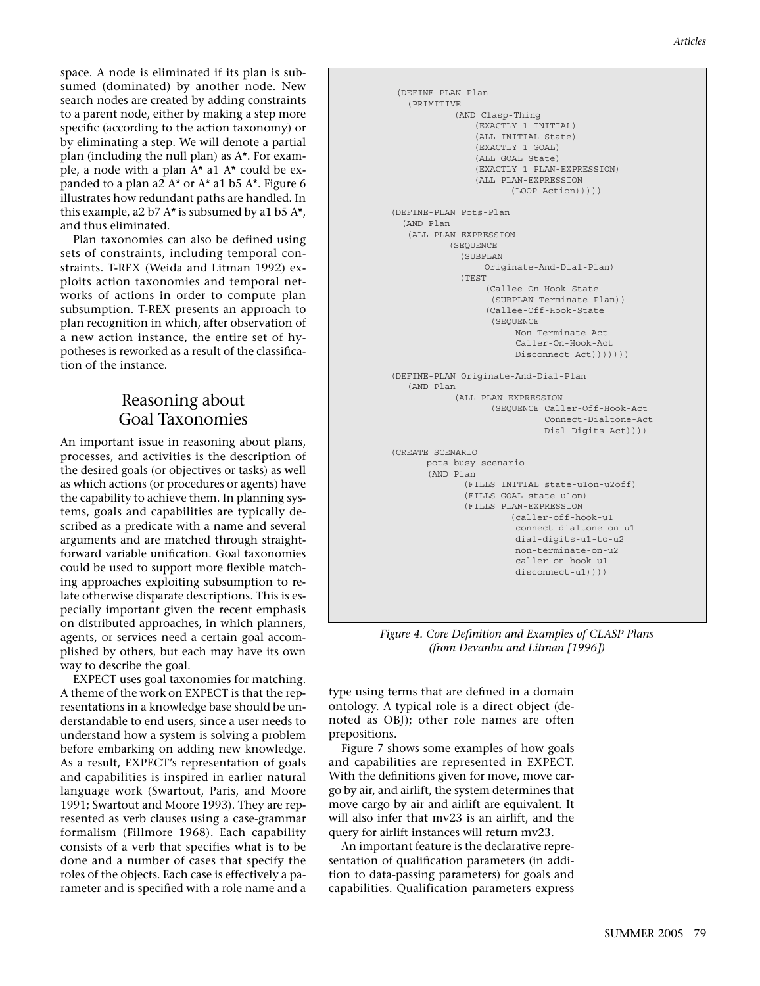space. A node is eliminated if its plan is subsumed (dominated) by another node. New search nodes are created by adding constraints to a parent node, either by making a step more specific (according to the action taxonomy) or by eliminating a step. We will denote a partial plan (including the null plan) as A\*. For example, a node with a plan  $A^*$  a1  $A^*$  could be expanded to a plan a2  $A^*$  or  $A^*$  a1 b5  $A^*$ . Figure 6 illustrates how redundant paths are handled. In this example, a2 b7  $A^*$  is subsumed by a1 b5  $A^*$ , and thus eliminated.

Plan taxonomies can also be defined using sets of constraints, including temporal constraints. T-REX (Weida and Litman 1992) exploits action taxonomies and temporal networks of actions in order to compute plan subsumption. T-REX presents an approach to plan recognition in which, after observation of a new action instance, the entire set of hypotheses is reworked as a result of the classification of the instance.

# Reasoning about Goal Taxonomies

An important issue in reasoning about plans, processes, and activities is the description of the desired goals (or objectives or tasks) as well as which actions (or procedures or agents) have the capability to achieve them. In planning systems, goals and capabilities are typically described as a predicate with a name and several arguments and are matched through straightforward variable unification. Goal taxonomies could be used to support more flexible matching approaches exploiting subsumption to relate otherwise disparate descriptions. This is especially important given the recent emphasis on distributed approaches, in which planners, agents, or services need a certain goal accomplished by others, but each may have its own way to describe the goal.

EXPECT uses goal taxonomies for matching. A theme of the work on EXPECT is that the representations in a knowledge base should be understandable to end users, since a user needs to understand how a system is solving a problem before embarking on adding new knowledge. As a result, EXPECT's representation of goals and capabilities is inspired in earlier natural language work (Swartout, Paris, and Moore 1991; Swartout and Moore 1993). They are represented as verb clauses using a case-grammar formalism (Fillmore 1968). Each capability consists of a verb that specifies what is to be done and a number of cases that specify the roles of the objects. Each case is effectively a parameter and is specified with a role name and a

```
 (DEFINE-PLAN Plan
    (PRIMITIVE
             (AND Clasp-Thing
                 (EXACTLY 1 INITIAL)
                 (ALL INITIAL State)
                 (EXACTLY 1 GOAL)
                 (ALL GOAL State)
                 (EXACTLY 1 PLAN-EXPRESSION)
                 (ALL PLAN-EXPRESSION
                        (LOOP Action)))))
(DEFINE-PLAN Pots-Plan
   (AND Plan
    (ALL PLAN-EXPRESSION
            (SEQUENCE
              (SUBPLAN
                   Originate-And-Dial-Plan)
              (TEST
                   (Callee-On-Hook-State
                    (SUBPLAN Terminate-Plan))
                   (Callee-Off-Hook-State
                     (SEQUENCE
                         Non-Terminate-Act
                         Caller-On-Hook-Act
                         Disconnect Act)))))))
(DEFINE-PLAN Originate-And-Dial-Plan
    (AND Plan
             (ALL PLAN-EXPRESSION
                    (SEQUENCE Caller-Off-Hook-Act
                               Connect-Dialtone-Act
                               Dial-Digits-Act))))
(CREATE SCENARIO
       pots-busy-scenario
        (AND Plan
               (FILLS INITIAL state-u1on-u2off)
               (FILLS GOAL state-u1on)
               (FILLS PLAN-EXPRESSION
                        (caller-off-hook-u1
                         connect-dialtone-on-u1
                         dial-digits-u1-to-u2
                         non-terminate-on-u2
                         caller-on-hook-u1
                        disconnect-u1))))
```
*Figure 4. Core Definition and Examples of CLASP Plans (from Devanbu and Litman [1996])*

type using terms that are defined in a domain ontology. A typical role is a direct object (denoted as OBJ); other role names are often prepositions.

Figure 7 shows some examples of how goals and capabilities are represented in EXPECT. With the definitions given for move, move cargo by air, and airlift, the system determines that move cargo by air and airlift are equivalent. It will also infer that mv23 is an airlift, and the query for airlift instances will return mv23.

An important feature is the declarative representation of qualification parameters (in addition to data-passing parameters) for goals and capabilities. Qualification parameters express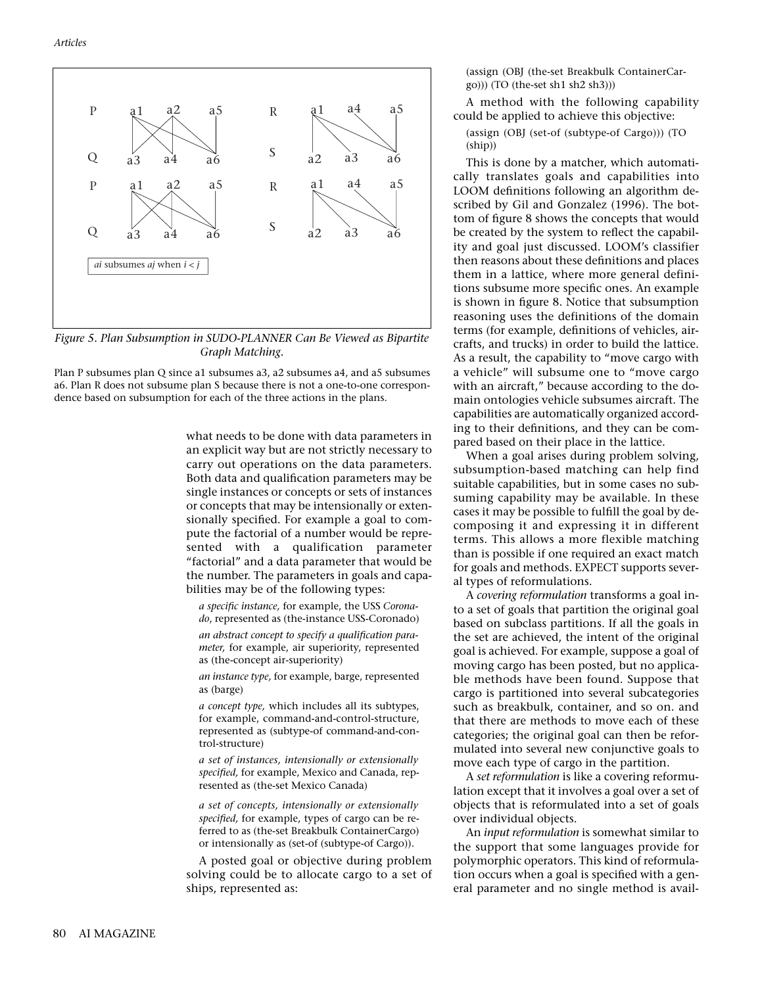

*Figure 5. Plan Subsumption in SUDO-PLANNER Can Be Viewed as Bipartite Graph Matching.* 

Plan P subsumes plan Q since a1 subsumes a3, a2 subsumes a4, and a5 subsumes a6. Plan R does not subsume plan S because there is not a one-to-one correspondence based on subsumption for each of the three actions in the plans.

> what needs to be done with data parameters in an explicit way but are not strictly necessary to carry out operations on the data parameters. Both data and qualification parameters may be single instances or concepts or sets of instances or concepts that may be intensionally or extensionally specified. For example a goal to compute the factorial of a number would be represented with a qualification parameter "factorial" and a data parameter that would be the number. The parameters in goals and capabilities may be of the following types:

*a specific instance,* for example, the USS *Coronado*, represented as (the-instance USS-Coronado)

*an abstract concept to specify a qualification parameter,* for example, air superiority, represented as (the-concept air-superiority)

*an instance type,* for example, barge, represented as (barge)

*a concept type,* which includes all its subtypes, for example, command-and-control-structure, represented as (subtype-of command-and-control-structure)

*a set of instances, intensionally or extensionally specified,* for example, Mexico and Canada, represented as (the-set Mexico Canada)

*a set of concepts, intensionally or extensionally specified,* for example, types of cargo can be referred to as (the-set Breakbulk ContainerCargo) or intensionally as (set-of (subtype-of Cargo)).

A posted goal or objective during problem solving could be to allocate cargo to a set of ships, represented as:

(assign (OBJ (the-set Breakbulk ContainerCar- $(go))$ ) (TO (the-set sh1 sh2 sh3)))

A method with the following capability could be applied to achieve this objective:

(assign (OBJ (set-of (subtype-of Cargo))) (TO (ship))

This is done by a matcher, which automatically translates goals and capabilities into LOOM definitions following an algorithm described by Gil and Gonzalez (1996). The bottom of figure 8 shows the concepts that would be created by the system to reflect the capability and goal just discussed. LOOM's classifier then reasons about these definitions and places them in a lattice, where more general definitions subsume more specific ones. An example is shown in figure 8. Notice that subsumption reasoning uses the definitions of the domain terms (for example, definitions of vehicles, aircrafts, and trucks) in order to build the lattice. As a result, the capability to "move cargo with a vehicle" will subsume one to "move cargo with an aircraft," because according to the domain ontologies vehicle subsumes aircraft. The capabilities are automatically organized according to their definitions, and they can be compared based on their place in the lattice.

When a goal arises during problem solving, subsumption-based matching can help find suitable capabilities, but in some cases no subsuming capability may be available. In these cases it may be possible to fulfill the goal by decomposing it and expressing it in different terms. This allows a more flexible matching than is possible if one required an exact match for goals and methods. EXPECT supports several types of reformulations.

A *covering reformulation* transforms a goal into a set of goals that partition the original goal based on subclass partitions. If all the goals in the set are achieved, the intent of the original goal is achieved. For example, suppose a goal of moving cargo has been posted, but no applicable methods have been found. Suppose that cargo is partitioned into several subcategories such as breakbulk, container, and so on. and that there are methods to move each of these categories; the original goal can then be reformulated into several new conjunctive goals to move each type of cargo in the partition.

A *set reformulation* is like a covering reformulation except that it involves a goal over a set of objects that is reformulated into a set of goals over individual objects.

An *input reformulation* is somewhat similar to the support that some languages provide for polymorphic operators. This kind of reformulation occurs when a goal is specified with a general parameter and no single method is avail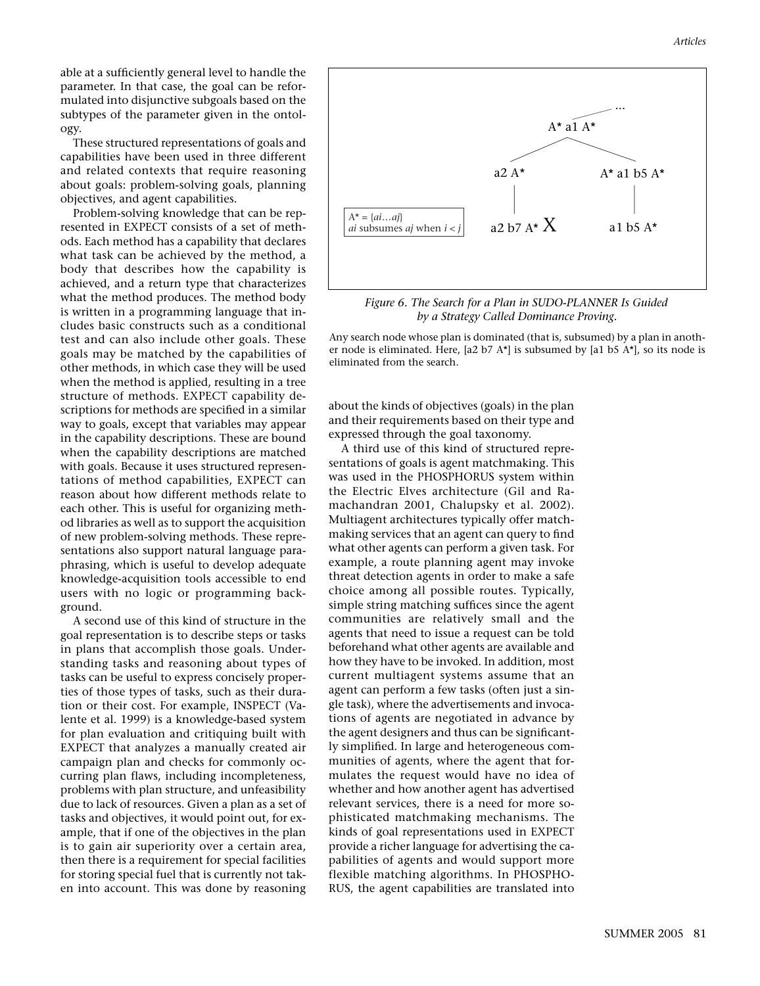able at a sufficiently general level to handle the parameter. In that case, the goal can be reformulated into disjunctive subgoals based on the subtypes of the parameter given in the ontology.

These structured representations of goals and capabilities have been used in three different and related contexts that require reasoning about goals: problem-solving goals, planning objectives, and agent capabilities.

Problem-solving knowledge that can be represented in EXPECT consists of a set of methods. Each method has a capability that declares what task can be achieved by the method, a body that describes how the capability is achieved, and a return type that characterizes what the method produces. The method body is written in a programming language that includes basic constructs such as a conditional test and can also include other goals. These goals may be matched by the capabilities of other methods, in which case they will be used when the method is applied, resulting in a tree structure of methods. EXPECT capability descriptions for methods are specified in a similar way to goals, except that variables may appear in the capability descriptions. These are bound when the capability descriptions are matched with goals. Because it uses structured representations of method capabilities, EXPECT can reason about how different methods relate to each other. This is useful for organizing method libraries as well as to support the acquisition of new problem-solving methods. These representations also support natural language paraphrasing, which is useful to develop adequate knowledge-acquisition tools accessible to end users with no logic or programming background.

A second use of this kind of structure in the goal representation is to describe steps or tasks in plans that accomplish those goals. Understanding tasks and reasoning about types of tasks can be useful to express concisely properties of those types of tasks, such as their duration or their cost. For example, INSPECT (Valente et al. 1999) is a knowledge-based system for plan evaluation and critiquing built with EXPECT that analyzes a manually created air campaign plan and checks for commonly occurring plan flaws, including incompleteness, problems with plan structure, and unfeasibility due to lack of resources. Given a plan as a set of tasks and objectives, it would point out, for example, that if one of the objectives in the plan is to gain air superiority over a certain area, then there is a requirement for special facilities for storing special fuel that is currently not taken into account. This was done by reasoning



*Figure 6. The Search for a Plan in SUDO-PLANNER Is Guided by a Strategy Called Dominance Proving.*

Any search node whose plan is dominated (that is, subsumed) by a plan in another node is eliminated. Here,  $[a2 b7 A<sup>*</sup>]$  is subsumed by  $[a1 b5 A<sup>*</sup>]$ , so its node is eliminated from the search.

about the kinds of objectives (goals) in the plan and their requirements based on their type and expressed through the goal taxonomy.

A third use of this kind of structured representations of goals is agent matchmaking. This was used in the PHOSPHORUS system within the Electric Elves architecture (Gil and Ramachandran 2001, Chalupsky et al. 2002). Multiagent architectures typically offer matchmaking services that an agent can query to find what other agents can perform a given task. For example, a route planning agent may invoke threat detection agents in order to make a safe choice among all possible routes. Typically, simple string matching suffices since the agent communities are relatively small and the agents that need to issue a request can be told beforehand what other agents are available and how they have to be invoked. In addition, most current multiagent systems assume that an agent can perform a few tasks (often just a single task), where the advertisements and invocations of agents are negotiated in advance by the agent designers and thus can be significantly simplified. In large and heterogeneous communities of agents, where the agent that formulates the request would have no idea of whether and how another agent has advertised relevant services, there is a need for more sophisticated matchmaking mechanisms. The kinds of goal representations used in EXPECT provide a richer language for advertising the capabilities of agents and would support more flexible matching algorithms. In PHOSPHO-RUS, the agent capabilities are translated into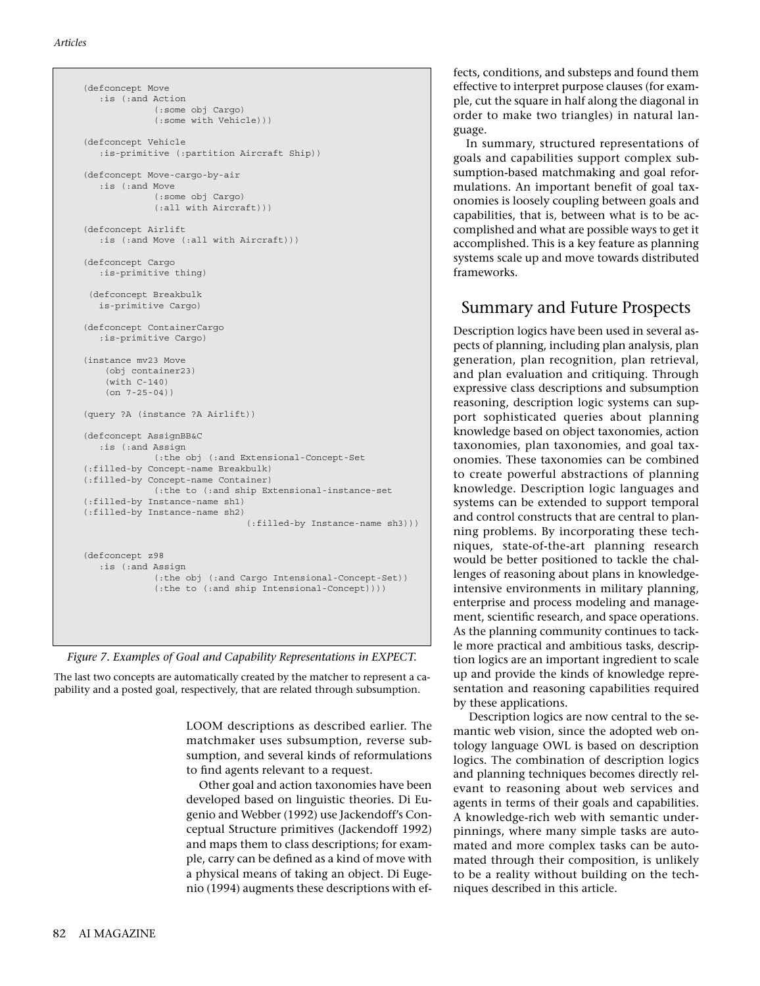```
(defconcept Move
   :is (:and Action
              (:some obj Cargo)
              (:some with Vehicle)))
(defconcept Vehicle
    :is-primitive (:partition Aircraft Ship))
(defconcept Move-cargo-by-air
   :is (:and Move
              (:some obj Cargo)
              (:all with Aircraft)))
(defconcept Airlift 
   :is (:and Move (:all with Aircraft)))
(defconcept Cargo 
   :is-primitive thing)
 (defconcept Breakbulk
   is-primitive Cargo)
(defconcept ContainerCargo
   :is-primitive Cargo)
(instance mv23 Move
    (obj container23)
     (with C-140)
     (on 7-25-04))
(query ?A (instance ?A Airlift))
(defconcept AssignBB&C 
   :is (:and Assign
              (:the obj (:and Extensional-Concept-Set
(:filled-by Concept-name Breakbulk)
(:filled-by Concept-name Container)
              (:the to (:and ship Extensional-instance-set
(:filled-by Instance-name sh1)
(:filled-by Instance-name sh2)
                                (:filled-by Instance-name sh3)))
(defconcept z98 
    :is (:and Assign
              (:the obj (:and Cargo Intensional-Concept-Set))
              (:the to (:and ship Intensional-Concept))))
```
*Figure 7. Examples of Goal and Capability Representations in EXPECT.* 

The last two concepts are automatically created by the matcher to represent a capability and a posted goal, respectively, that are related through subsumption.

> LOOM descriptions as described earlier. The matchmaker uses subsumption, reverse subsumption, and several kinds of reformulations to find agents relevant to a request.

> Other goal and action taxonomies have been developed based on linguistic theories. Di Eugenio and Webber (1992) use Jackendoff's Conceptual Structure primitives (Jackendoff 1992) and maps them to class descriptions; for example, carry can be defined as a kind of move with a physical means of taking an object. Di Eugenio (1994) augments these descriptions with ef-

fects, conditions, and substeps and found them effective to interpret purpose clauses (for example, cut the square in half along the diagonal in order to make two triangles) in natural language.

In summary, structured representations of goals and capabilities support complex subsumption-based matchmaking and goal reformulations. An important benefit of goal taxonomies is loosely coupling between goals and capabilities, that is, between what is to be accomplished and what are possible ways to get it accomplished. This is a key feature as planning systems scale up and move towards distributed frameworks.

## Summary and Future Prospects

Description logics have been used in several aspects of planning, including plan analysis, plan generation, plan recognition, plan retrieval, and plan evaluation and critiquing. Through expressive class descriptions and subsumption reasoning, description logic systems can support sophisticated queries about planning knowledge based on object taxonomies, action taxonomies, plan taxonomies, and goal taxonomies. These taxonomies can be combined to create powerful abstractions of planning knowledge. Description logic languages and systems can be extended to support temporal and control constructs that are central to planning problems. By incorporating these techniques, state-of-the-art planning research would be better positioned to tackle the challenges of reasoning about plans in knowledgeintensive environments in military planning, enterprise and process modeling and management, scientific research, and space operations. As the planning community continues to tackle more practical and ambitious tasks, description logics are an important ingredient to scale up and provide the kinds of knowledge representation and reasoning capabilities required by these applications.

Description logics are now central to the semantic web vision, since the adopted web ontology language OWL is based on description logics. The combination of description logics and planning techniques becomes directly relevant to reasoning about web services and agents in terms of their goals and capabilities. A knowledge-rich web with semantic underpinnings, where many simple tasks are automated and more complex tasks can be automated through their composition, is unlikely to be a reality without building on the techniques described in this article.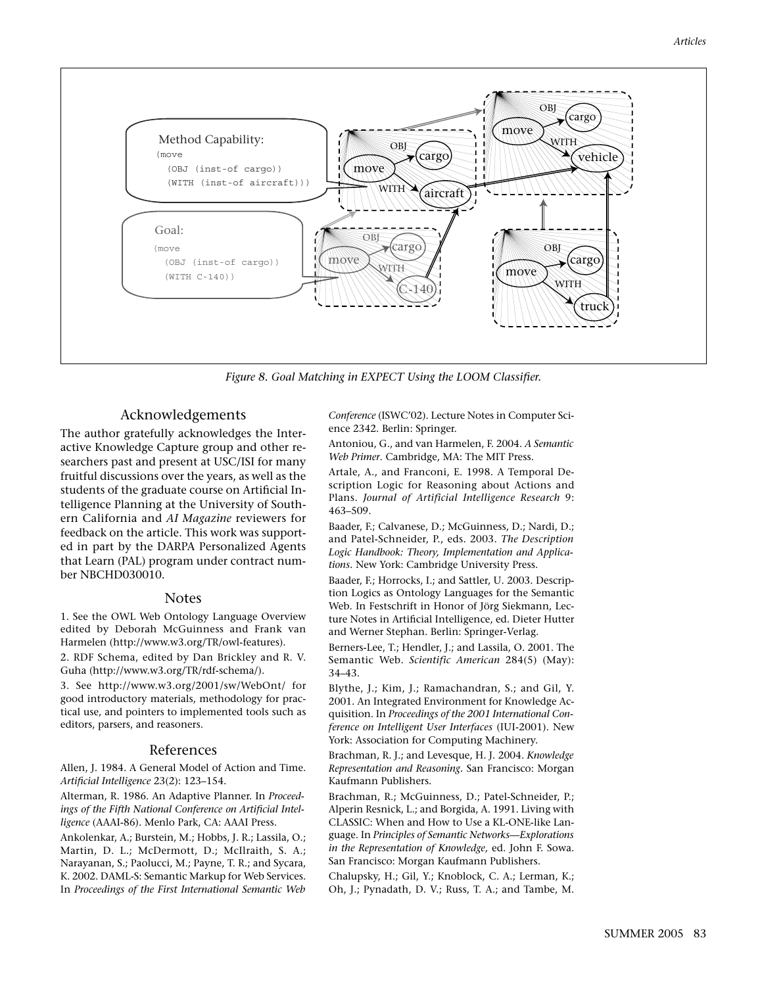

*Figure 8. Goal Matching in EXPECT Using the LOOM Classifier.*

### Acknowledgements

The author gratefully acknowledges the Interactive Knowledge Capture group and other researchers past and present at USC/ISI for many fruitful discussions over the years, as well as the students of the graduate course on Artificial Intelligence Planning at the University of Southern California and *AI Magazine* reviewers for feedback on the article. This work was supported in part by the DARPA Personalized Agents that Learn (PAL) program under contract number NBCHD030010.

#### Notes

1. See the OWL Web Ontology Language Overview edited by Deborah McGuinness and Frank van Harmelen (http://www.w3.org/TR/owl-features).

2. RDF Schema, edited by Dan Brickley and R. V. Guha (http://www.w3.org/TR/rdf-schema/).

3. See http://www.w3.org/2001/sw/WebOnt/ for good introductory materials, methodology for practical use, and pointers to implemented tools such as editors, parsers, and reasoners.

#### References

Allen, J. 1984. A General Model of Action and Time. *Artificial Intelligence* 23(2): 123–154.

Alterman, R. 1986. An Adaptive Planner. In *Proceedings of the Fifth National Conference on Artificial Intelligence* (AAAI-86). Menlo Park, CA: AAAI Press.

Ankolenkar, A.; Burstein, M.; Hobbs, J. R.; Lassila, O.; Martin, D. L.; McDermott, D.; McIlraith, S. A.; Narayanan, S.; Paolucci, M.; Payne, T. R.; and Sycara, K. 2002. DAML-S: Semantic Markup for Web Services. In *Proceedings of the First International Semantic Web*

*Conference* (ISWC'02). Lecture Notes in Computer Science 2342. Berlin: Springer.

Antoniou, G., and van Harmelen, F. 2004. *A Semantic Web Primer*. Cambridge, MA: The MIT Press.

Artale, A., and Franconi, E. 1998. A Temporal Description Logic for Reasoning about Actions and Plans. *Journal of Artificial Intelligence Research* 9: 463–509.

Baader, F.; Calvanese, D.; McGuinness, D.; Nardi, D.; and Patel-Schneider, P., eds. 2003. *The Description Logic Handbook: Theory, Implementation and Applications.* New York: Cambridge University Press.

Baader, F.; Horrocks, I.; and Sattler, U. 2003. Description Logics as Ontology Languages for the Semantic Web. In Festschrift in Honor of Jörg Siekmann, Lecture Notes in Artificial Intelligence, ed. Dieter Hutter and Werner Stephan. Berlin: Springer-Verlag.

Berners-Lee, T.; Hendler, J.; and Lassila, O. 2001. The Semantic Web. *Scientific American* 284(5) (May): 34–43.

Blythe, J.; Kim, J.; Ramachandran, S.; and Gil, Y. 2001. An Integrated Environment for Knowledge Acquisition. In *Proceedings of the 2001 International Conference on Intelligent User Interfaces* (IUI-2001). New York: Association for Computing Machinery.

Brachman, R. J.; and Levesque, H. J. 2004. *Knowledge Representation and Reasoning.* San Francisco: Morgan Kaufmann Publishers.

Brachman, R.; McGuinness, D.; Patel-Schneider, P.; Alperin Resnick, L.; and Borgida, A. 1991. Living with CLASSIC: When and How to Use a KL-ONE-like Language. In *Principles of Semantic Networks—Explorations in the Representation of Knowledge,* ed. John F. Sowa. San Francisco: Morgan Kaufmann Publishers.

Chalupsky, H.; Gil, Y.; Knoblock, C. A.; Lerman, K.; Oh, J.; Pynadath, D. V.; Russ, T. A.; and Tambe, M.